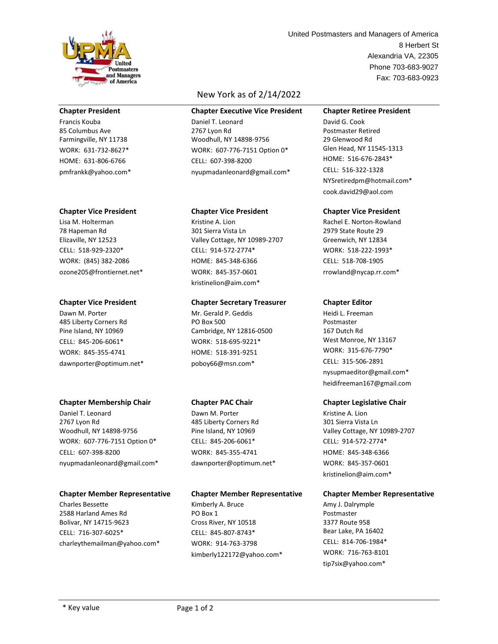

### **Chapter President**

Francis Kouba 85 Columbus Ave Farmingville, NY 11738 WORK: 631-732-8627\* HOME: 631-806-6766 pmfrankk@yahoo.com\*

#### **Chapter Vice President**

Lisa M. Holterman 78 Hapeman Rd Elizaville, NY 12523 CELL: 518-929-2320\* WORK: (845) 382-2086 ozone205@frontiernet.net\*

#### **Chapter Vice President**

Dawn M. Porter 485 Liberty Corners Rd Pine Island, NY 10969 CELL: 845-206-6061\* WORK: 845-355-4741 dawnporter@optimum.net\*

### **Chapter Membership Chair**

Daniel T. Leonard 2767 Lyon Rd Woodhull, NY 14898-9756 WORK: 607-776-7151 Option 0\* CELL: 607-398-8200 nyupmadanleonard@gmail.com\*

# **Chapter Member Representative**

Charles Bessette 2588 Harland Ames Rd Bolivar, NY 14715-9623 CELL: 716-307-6025\* charleythemailman@yahoo.com\*

# New York as of 2/14/2022

**Chapter Executive Vice President**

Daniel T. Leonard 2767 Lyon Rd Woodhull, NY 14898-9756 WORK: 607-776-7151 Option 0\* CELL: 607-398-8200 nyupmadanleonard@gmail.com\*

### **Chapter Vice President**

Kristine A. Lion 301 Sierra Vista Ln Valley Cottage, NY 10989-2707 CELL: 914-572-2774\* HOME: 845-348-6366 WORK: 845-357-0601 kristinelion@aim.com\*

# **Chapter Secretary Treasurer**

Mr. Gerald P. Geddis PO Box 500 Cambridge, NY 12816-0500 WORK: 518-695-9221\* HOME: 518-391-9251 poboy66@msn.com\*

# **Chapter PAC Chair**

Dawn M. Porter 485 Liberty Corners Rd Pine Island, NY 10969 CELL: 845-206-6061\* WORK: 845-355-4741 dawnporter@optimum.net\*

# **Chapter Member Representative**

Kimberly A. Bruce PO Box 1 Cross River, NY 10518 CELL: 845-807-8743\* WORK: 914-763-3798 kimberly122172@yahoo.com\*

Alexandria VA, 22305 Phone 703-683-9027 8 Herbert St Fax: 703-683-0923 United Postmasters and Managers of America

### **Chapter Retiree President**

David G. Cook Postmaster Retired 29 Glenwood Rd Glen Head, NY 11545-1313 HOME: 516-676-2843\* CELL: 516-322-1328 NYSretiredpm@hotmail.com\* cook.david29@aol.com

## **Chapter Vice President**

Rachel E. Norton-Rowland 2979 State Route 29 Greenwich, NY 12834 WORK: 518-222-1993\* CELL: 518-708-1905 rrowland@nycap.rr.com\*

### **Chapter Editor**

Heidi L. Freeman Postmaster 167 Dutch Rd West Monroe, NY 13167 WORK: 315-676-7790\* CELL: 315-506-2891 nysupmaeditor@gmail.com\* heidifreeman167@gmail.com

### **Chapter Legislative Chair**

Kristine A. Lion 301 Sierra Vista Ln Valley Cottage, NY 10989-2707 CELL: 914-572-2774\* HOME: 845-348-6366 WORK: 845-357-0601 kristinelion@aim.com\*

# **Chapter Member Representative**

Amy J. Dalrymple Postmaster 3377 Route 958 Bear Lake, PA 16402 CELL: 814-706-1984\* WORK: 716-763-8101 tip7six@yahoo.com\*